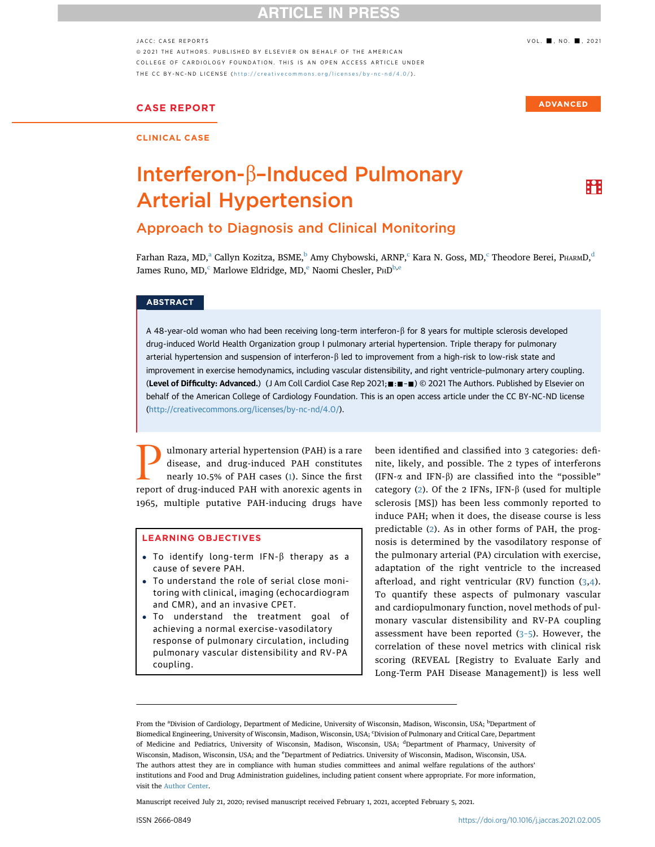## **ARTICLE IN PRES**

#### JACC: CASE REPORTS **1999** VOL. **...** NO. 2021

ª 2021 THE AUTHORS. PUBLISHED BY ELSEVIER ON BEHALF OF THE AMERICAN COLLEGE OF CARDIOLOGY FOUNDATION. THIS IS AN OPEN ACCESS ARTICLE UNDER THE CC BY-NC-ND LICENSE (http://creativecommons.org/licenses/by-nc-nd/4.0/).

## CASE REPORT

CLINICAL CASE

# Interferon- $\beta$ -Induced Pulmonary Arterial Hypertension

## Approach to Diagnosis and Clinical Monitoring

Farhan Raza, MD,<sup>a</sup> Callyn Kozitza, BSME,<sup>b</sup> Amy Chybowski, ARNP,<sup>c</sup> Kara N. Goss, MD,<sup>c</sup> Theodore Berei, PHARMD,<sup>d</sup> James Runo, MD,<sup>c</sup> Marlowe Eldridge, MD,<sup>e</sup> Naomi Chesler, PHD<sup>b,e</sup>

#### **ABSTRACT**

A 48-year-old woman who had been receiving long-term interferon- $\beta$  for 8 years for multiple sclerosis developed drug-induced World Health Organization group I pulmonary arterial hypertension. Triple therapy for pulmonary arterial hypertension and suspension of interferon- $\beta$  led to improvement from a high-risk to low-risk state and improvement in exercise hemodynamics, including vascular distensibility, and right ventricle–pulmonary artery coupling. (Level of Difficulty: Advanced.) (J Am Coll Cardiol Case Rep 2021;  $\blacksquare$ :  $\blacksquare$ ) © 2021 The Authors. Published by Elsevier on behalf of the American College of Cardiology Foundation. This is an open access article under the CC BY-NC-ND license (http://creativecommons.org/licenses/by-nc-nd/4.0/).

Ulmonary arterial hypertension (PAH) is a rare<br>disease, and drug-induced PAH constitutes<br>nearly 10.5% of PAH cases (1). Since the first<br>report of drug-induced PAH with anorexic agents in disease, and drug-induced PAH constitutes nearly 10.5% of PAH cases (1). Since the first report of drug-induced PAH with anorexic agents in 1965, multiple putative PAH-inducing drugs have

#### LEARNING OBJECTIVES

- To identify long-term  $IFN-\beta$  therapy as a cause of severe PAH.
- ! To understand the role of serial close monitoring with clinical, imaging (echocardiogram and CMR), and an invasive CPET.
- . To understand the treatment goal of achieving a normal exercise-vasodilatory response of pulmonary circulation, including pulmonary vascular distensibility and RV-PA coupling.

been identified and classified into 3 categories: definite, likely, and possible. The 2 types of interferons (IFN- $\alpha$  and IFN- $\beta$ ) are classified into the "possible" category (2). Of the 2 IFNs, IFN- $\beta$  (used for multiple sclerosis [MS]) has been less commonly reported to induce PAH; when it does, the disease course is less predictable (2). As in other forms of PAH, the prognosis is determined by the vasodilatory response of the pulmonary arterial (PA) circulation with exercise, adaptation of the right ventricle to the increased afterload, and right ventricular (RV) function  $(3,4)$ . To quantify these aspects of pulmonary vascular and cardiopulmonary function, novel methods of pulmonary vascular distensibility and RV-PA coupling assessment have been reported  $(3-5)$ . However, the correlation of these novel metrics with clinical risk scoring (REVEAL [Registry to Evaluate Early and Long-Term PAH Disease Management]) is less well

Manuscript received July 21, 2020; revised manuscript received February 1, 2021, accepted February 5, 2021.

**ADVANCED** 

m

From the <sup>a</sup>Division of Cardiology, Department of Medicine, University of Wisconsin, Madison, Wisconsin, USA; <sup>b</sup>Department of Biomedical Engineering, University of Wisconsin, Madison, Wisconsin, USA; 'Division of Pulmonary and Critical Care, Department of Medicine and Pediatrics, University of Wisconsin, Madison, Wisconsin, USA; <sup>d</sup>Department of Pharmacy, University of Wisconsin, Madison, Wisconsin, USA; and the <sup>e</sup>Department of Pediatrics. University of Wisconsin, Madison, Wisconsin, USA. The authors attest they are in compliance with human studies committees and animal welfare regulations of the authors' institutions and Food and Drug Administration guidelines, including patient consent where appropriate. For more information, visit the Author Center.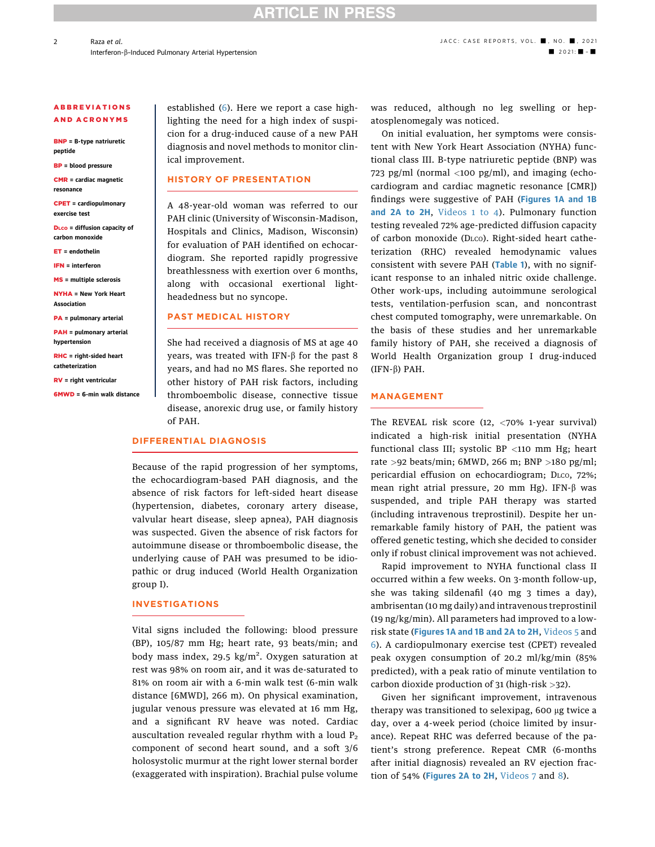# **ARTICLE IN PRESS**

#### ABBREVIATIONS AND ACRONYMS

BNP = B-type natriuretic peptide

BP = blood pressure

CMR = cardiac magnetic resonance

CPET = cardiopulmonary exercise test

DLCO = diffusion capacity of carbon monoxide

ET = endothelin

IFN = interferon

MS = multiple sclerosis

NYHA = New York Heart Association

PA = pulmonary arterial

PAH = pulmonary arterial hypertension

RHC = right-sided heart catheterization

RV = right ventricular

6MWD = 6-min walk distance

established (6). Here we report a case highlighting the need for a high index of suspicion for a drug-induced cause of a new PAH diagnosis and novel methods to monitor clinical improvement.

#### HISTORY OF PRESENTATION

A 48-year-old woman was referred to our PAH clinic (University of Wisconsin-Madison, Hospitals and Clinics, Madison, Wisconsin) for evaluation of PAH identified on echocardiogram. She reported rapidly progressive breathlessness with exertion over 6 months, along with occasional exertional lightheadedness but no syncope.

#### PAST MEDICAL HISTORY

She had received a diagnosis of MS at age 40 years, was treated with IFN- $\beta$  for the past 8 years, and had no MS flares. She reported no other history of PAH risk factors, including thromboembolic disease, connective tissue disease, anorexic drug use, or family history of PAH.

## DIFFERENTIAL DIAGNOSIS

Because of the rapid progression of her symptoms, the echocardiogram-based PAH diagnosis, and the absence of risk factors for left-sided heart disease (hypertension, diabetes, coronary artery disease, valvular heart disease, sleep apnea), PAH diagnosis was suspected. Given the absence of risk factors for autoimmune disease or thromboembolic disease, the underlying cause of PAH was presumed to be idiopathic or drug induced (World Health Organization group I).

#### INVESTIGATIONS

Vital signs included the following: blood pressure (BP), 105/87 mm Hg; heart rate, 93 beats/min; and body mass index, 29.5 kg/m<sup>2</sup>. Oxygen saturation at rest was 98% on room air, and it was de-saturated to 81% on room air with a 6-min walk test (6-min walk distance [6MWD], 266 m). On physical examination, jugular venous pressure was elevated at 16 mm Hg, and a significant RV heave was noted. Cardiac auscultation revealed regular rhythm with a loud  $P_2$ component of second heart sound, and a soft 3/6 holosystolic murmur at the right lower sternal border (exaggerated with inspiration). Brachial pulse volume

was reduced, although no leg swelling or hepatosplenomegaly was noticed.

On initial evaluation, her symptoms were consistent with New York Heart Association (NYHA) functional class III. B-type natriuretic peptide (BNP) was 723 pg/ml (normal  $\langle$ 100 pg/ml), and imaging (echocardiogram and cardiac magnetic resonance [CMR]) findings were suggestive of PAH (Figures 1A and 1B and 2A to 2H, Videos 1 to 4). Pulmonary function testing revealed 72% age-predicted diffusion capacity of carbon monoxide (DLCO). Right-sided heart catheterization (RHC) revealed hemodynamic values consistent with severe PAH (Table 1), with no significant response to an inhaled nitric oxide challenge. Other work-ups, including autoimmune serological tests, ventilation-perfusion scan, and noncontrast chest computed tomography, were unremarkable. On the basis of these studies and her unremarkable family history of PAH, she received a diagnosis of World Health Organization group I drug-induced  $(IFN- $\beta$ ) PAH.$ 

#### MANAGEMENT

The REVEAL risk score (12, <70% 1-year survival) indicated a high-risk initial presentation (NYHA functional class III; systolic BP  $\langle$ 110 mm Hg; heart rate >92 beats/min; 6MWD, 266 m; BNP >180 pg/ml; pericardial effusion on echocardiogram; DLCO, 72%; mean right atrial pressure, 20 mm Hg). IFN- $\beta$  was suspended, and triple PAH therapy was started (including intravenous treprostinil). Despite her unremarkable family history of PAH, the patient was offered genetic testing, which she decided to consider only if robust clinical improvement was not achieved.

Rapid improvement to NYHA functional class II occurred within a few weeks. On 3-month follow-up, she was taking sildenafil (40 mg 3 times a day), ambrisentan (10 mg daily) and intravenous treprostinil (19 ng/kg/min). All parameters had improved to a lowrisk state (Figures 1A and 1B and 2A to 2H, Videos 5 and 6). A cardiopulmonary exercise test (CPET) revealed peak oxygen consumption of 20.2 ml/kg/min (85% predicted), with a peak ratio of minute ventilation to carbon dioxide production of 31 (high-risk >32).

Given her significant improvement, intravenous therapy was transitioned to selexipag, 600 µg twice a day, over a 4-week period (choice limited by insurance). Repeat RHC was deferred because of the patient's strong preference. Repeat CMR (6-months after initial diagnosis) revealed an RV ejection fraction of 54% (Figures 2A to 2H, Videos 7 and 8).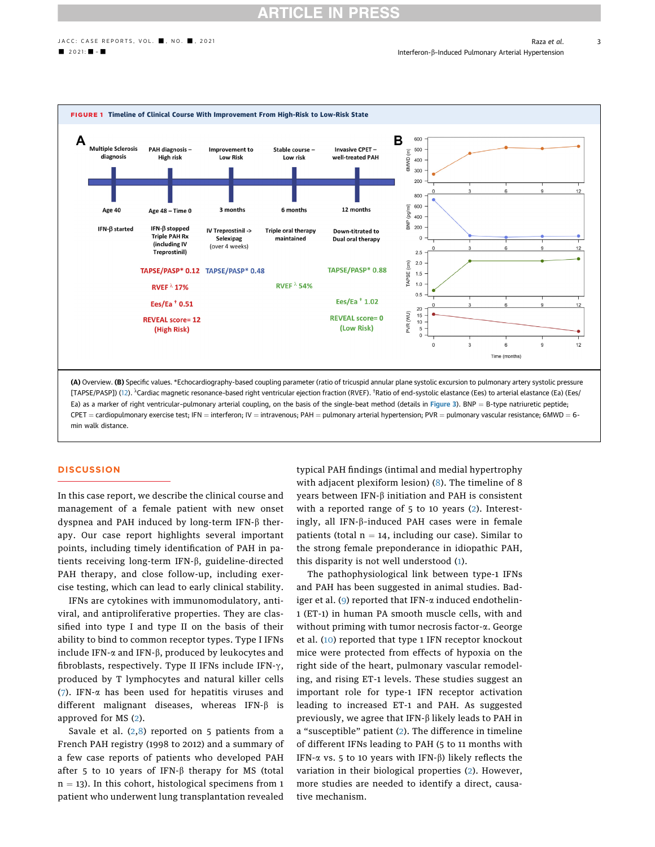3

■ 2021: ■ - ■ The United Pulmonary Arterial Hypertension



[TAPSE/PASP]) (12). <sup>^</sup>Cardiac magnetic resonance-based right ventricular ejection fraction (RVEF). <sup>†</sup>Ratio of end-systolic elastance (Ees) to arterial elastance (Ea) (Ees/ Ea) as a marker of right ventricular-pulmonary arterial coupling, on the basis of the single-beat method (details in Figure 3). BNP = B-type natriuretic peptide; CPET = cardiopulmonary exercise test; IFN = interferon; IV = intravenous; PAH = pulmonary arterial hypertension; PVR = pulmonary vascular resistance; 6MWD = 6min walk distance.

#### **DISCUSSION**

In this case report, we describe the clinical course and management of a female patient with new onset dyspnea and PAH induced by long-term IFN- $\beta$  therapy. Our case report highlights several important points, including timely identification of PAH in patients receiving long-term IFN-b, guideline-directed PAH therapy, and close follow-up, including exercise testing, which can lead to early clinical stability.

IFNs are cytokines with immunomodulatory, antiviral, and antiproliferative properties. They are classified into type I and type II on the basis of their ability to bind to common receptor types. Type I IFNs include IFN- $\alpha$  and IFN- $\beta$ , produced by leukocytes and fibroblasts, respectively. Type II IFNs include IFN- $\gamma$ , produced by T lymphocytes and natural killer cells (7). IFN- $\alpha$  has been used for hepatitis viruses and different malignant diseases, whereas IFN- $\beta$  is approved for MS (2).

Savale et al.  $(2,8)$  reported on 5 patients from a French PAH registry (1998 to 2012) and a summary of a few case reports of patients who developed PAH after 5 to 10 years of IFN- $\beta$  therapy for MS (total  $n = 13$ ). In this cohort, histological specimens from 1 patient who underwent lung transplantation revealed

typical PAH findings (intimal and medial hypertrophy with adjacent plexiform lesion) (8). The timeline of 8 years between IFN- $\beta$  initiation and PAH is consistent with a reported range of 5 to 10 years (2). Interestingly, all IFN- $\beta$ -induced PAH cases were in female patients (total  $n = 14$ , including our case). Similar to the strong female preponderance in idiopathic PAH, this disparity is not well understood (1).

The pathophysiological link between type-1 IFNs and PAH has been suggested in animal studies. Badiger et al. (9) reported that IFN-a induced endothelin-1 (ET-1) in human PA smooth muscle cells, with and without priming with tumor necrosis factor-a. George et al. (10) reported that type 1 IFN receptor knockout mice were protected from effects of hypoxia on the right side of the heart, pulmonary vascular remodeling, and rising ET-1 levels. These studies suggest an important role for type-1 IFN receptor activation leading to increased ET-1 and PAH. As suggested previously, we agree that IFN- $\beta$  likely leads to PAH in a "susceptible" patient (2). The difference in timeline of different IFNs leading to PAH (5 to 11 months with IFN- $\alpha$  vs. 5 to 10 years with IFN- $\beta$ ) likely reflects the variation in their biological properties (2). However, more studies are needed to identify a direct, causative mechanism.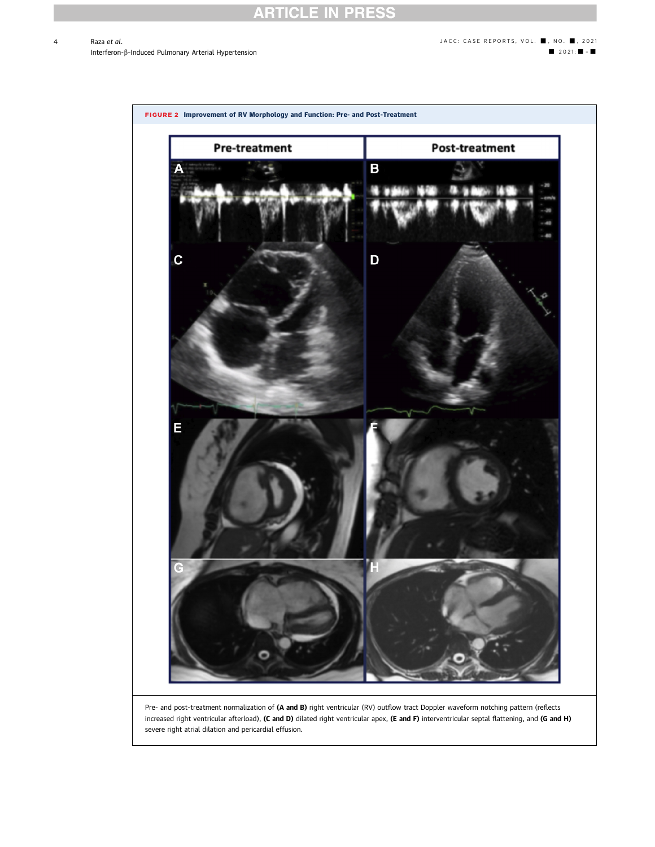# **RTICLE IN PRESS**

## Raza et al. **abuse and the set of the set of the set of the set of the set of the set of the set of the set of the set of the set of the set of the set of the set of the set of the set of the set of the set of the set of t** Interferon-β-Induced Pulmonary Arterial Hypertension - 2021: ■ 2021: ■ 2021: ■ 2021: ■ 2021: ■ 2021: ■ 2021: ■ 2021: ■ 2021: ■ 2021: ■ 2021: ■ 2021: ■ 2021: ■ 2021: ■ 2021: ■ 2021: ■ 2021: ■ 2021: ■ 2021: ■ 2021: ■ 2021:



Pre- and post-treatment normalization of (A and B) right ventricular (RV) outflow tract Doppler waveform notching pattern (reflects increased right ventricular afterload), (C and D) dilated right ventricular apex, (E and F) interventricular septal flattening, and (G and H) severe right atrial dilation and pericardial effusion.

 $\overline{A}$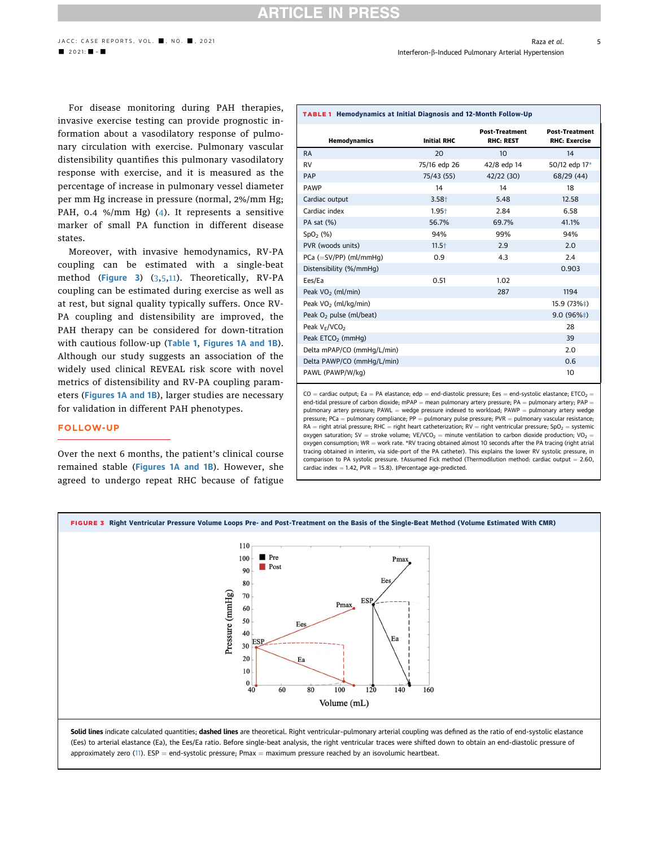## **CLE IN PRE**

5

■ 2021: ■ - ■ The United Pulmonary Arterial Hypertension

For disease monitoring during PAH therapies, invasive exercise testing can provide prognostic information about a vasodilatory response of pulmonary circulation with exercise. Pulmonary vascular distensibility quantifies this pulmonary vasodilatory response with exercise, and it is measured as the percentage of increase in pulmonary vessel diameter per mm Hg increase in pressure (normal, 2%/mm Hg; PAH, 0.4 %/mm Hg) (4). It represents a sensitive marker of small PA function in different disease states.

Moreover, with invasive hemodynamics, RV-PA coupling can be estimated with a single-beat method (Figure 3) (3,5,11). Theoretically, RV-PA coupling can be estimated during exercise as well as at rest, but signal quality typically suffers. Once RV-PA coupling and distensibility are improved, the PAH therapy can be considered for down-titration with cautious follow-up (Table 1, Figures 1A and 1B). Although our study suggests an association of the widely used clinical REVEAL risk score with novel metrics of distensibility and RV-PA coupling parameters (Figures 1A and 1B), larger studies are necessary for validation in different PAH phenotypes.

#### FOLLOW-UP

Over the next 6 months, the patient's clinical course remained stable (Figures 1A and 1B). However, she agreed to undergo repeat RHC because of fatigue

| Hemodynamics                     | <b>Initial RHC</b> | <b>Post-Treatment</b><br><b>RHC: REST</b> | <b>Post-Treatment</b><br><b>RHC: Exercise</b> |
|----------------------------------|--------------------|-------------------------------------------|-----------------------------------------------|
| <b>RA</b>                        | 20                 | 10                                        | 14                                            |
| <b>RV</b>                        | 75/16 edp 26       | 42/8 edp 14                               | 50/12 edp 17*                                 |
| PAP                              | 75/43 (55)         | 42/22 (30)                                | 68/29 (44)                                    |
| <b>PAWP</b>                      | 14                 | 14                                        | 18                                            |
| Cardiac output                   | $3.58+$            | 5.48                                      | 12.58                                         |
| Cardiac index                    | $1.95+$            | 2.84                                      | 6.58                                          |
| PA sat (%)                       | 56.7%              | 69.7%                                     | 41.1%                                         |
| SpO <sub>2</sub> (%)             | 94%                | 99%                                       | 94%                                           |
| PVR (woods units)                | $11.5+$            | 2.9                                       | 2.0                                           |
| $PCa (=SV/PP)$ (ml/mmHq)         | 0.9                | 4.3                                       | 2.4                                           |
| Distensibility (%/mmHq)          |                    |                                           | 0.903                                         |
| Ees/Ea                           | 0.51               | 1.02                                      |                                               |
| Peak VO <sub>2</sub> (ml/min)    |                    | 287                                       | 1194                                          |
| Peak VO <sub>2</sub> (ml/kg/min) |                    |                                           | 15.9 (73%‡)                                   |
| Peak $O2$ pulse (ml/beat)        |                    |                                           | $9.0(96\%+)$                                  |
| Peak $V_F/VCO2$                  |                    |                                           | 28                                            |
| Peak ETCO <sub>2</sub> (mmHg)    |                    |                                           | 39                                            |
| Delta mPAP/CO (mmHg/L/min)       |                    |                                           | 2.0                                           |
| Delta PAWP/CO (mmHg/L/min)       |                    |                                           | 0.6                                           |
| PAWL (PAWP/W/kg)                 |                    |                                           | 10                                            |

TABLE 1 Hemodynamics at Initial Diagnosis and 12-Month Follow-Up

 $CO =$  cardiac output; Ea = PA elastance; edp = end-diastolic pressure; Ees = end-systolic elastance; ETCO<sub>2</sub> = end-tidal pressure of carbon dioxide; mPAP = mean pulmonary artery pressure; PA = pulmonary artery; PAP  $\cdot$ pulmonary artery pressure; PAWL = wedge pressure indexed to workload; PAWP = pulmonary artery wedge pressure; PCa = pulmonary compliance; PP = pulmonary pulse pressure; PVR = pulmonary vascular resistance;  $RA$  = right atrial pressure; RHC = right heart catheterization; RV = right ventricular pressure; SpO<sub>2</sub> = systemic oxygen saturation; SV = stroke volume; VE/VCO<sub>2</sub> = minute ventilation to carbon dioxide production; VO<sub>2</sub> = oxygen consumption; WR = work rate. \*RV tracing obtained almost 10 seconds after the PA tracing (right atrial tracing obtained in interim, via side-port of the PA catheter). This explains the lower RV systolic pressure, in comparison to PA systolic pressure. †Assumed Fick method (Thermodilution method: cardiac output =  $2.60$ , cardiac index  $= 1.42$ , PVR  $= 15.8$ ). ‡Percentage age-predicted.



(Ees) to arterial elastance (Ea), the Ees/Ea ratio. Before single-beat analysis, the right ventricular traces were shifted down to obtain an end-diastolic pressure of approximately zero (11). ESP = end-systolic pressure; Pmax = maximum pressure reached by an isovolumic heartbeat.